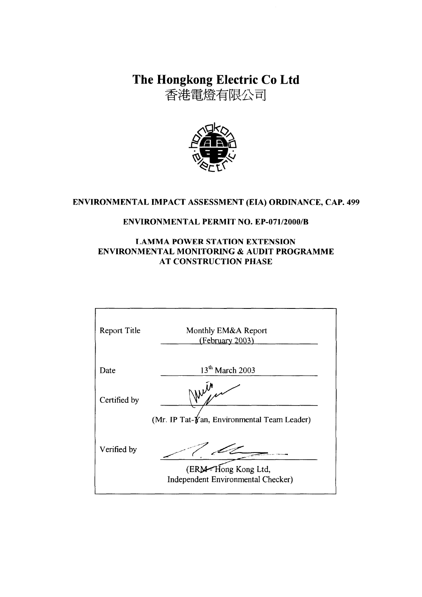The Hongkong Electric Co Ltd

香港電燈有限公司



# ENVIRONMENTAL IMPACT ASSESSMENT (EIA) ORDINANCE, CAP. 499

## **ENVIRONMENTAL PERMIT NO. EP-071/2000/B**

#### **LAMMA POWER STATION EXTENSION** ENVIRONMENTAL MONITORING & AUDIT PROGRAMME **AT CONSTRUCTION PHASE**

| Report Title | Monthly EM&A Report<br>(February 2003)                    |
|--------------|-----------------------------------------------------------|
| Date         | 13 <sup>th</sup> March 2003                               |
| Certified by |                                                           |
|              | (Mr. IP Tat- $\gamma$ an, Environmental Team Leader)      |
| Verified by  |                                                           |
|              | (ERM-Hong Kong Ltd,<br>Independent Environmental Checker) |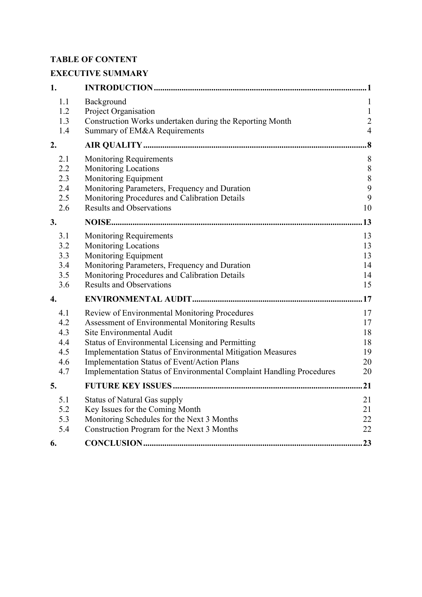# **TABLE OF CONTENT**

# **EXECUTIVE SUMMARY**

| 1.                                            |                                                                                                                                                                                                                                                                                                                                                                                    |                                                                  |
|-----------------------------------------------|------------------------------------------------------------------------------------------------------------------------------------------------------------------------------------------------------------------------------------------------------------------------------------------------------------------------------------------------------------------------------------|------------------------------------------------------------------|
| 1.1<br>1.2<br>1.3<br>1.4                      | Background<br>Project Organisation<br>Construction Works undertaken during the Reporting Month<br>Summary of EM&A Requirements                                                                                                                                                                                                                                                     | $\mathbf{1}$<br>$\mathbf{1}$<br>$\overline{2}$<br>$\overline{4}$ |
| 2.                                            |                                                                                                                                                                                                                                                                                                                                                                                    | $\overline{\mathbf{8}}$                                          |
| 2.1<br>2.2<br>2.3<br>2.4<br>2.5<br>2.6        | <b>Monitoring Requirements</b><br><b>Monitoring Locations</b><br>Monitoring Equipment<br>Monitoring Parameters, Frequency and Duration<br>Monitoring Procedures and Calibration Details<br><b>Results and Observations</b>                                                                                                                                                         | 8<br>$\, 8$<br>$\,$ $\,$<br>9<br>9<br>10                         |
| 3.                                            |                                                                                                                                                                                                                                                                                                                                                                                    | 13                                                               |
| 3.1<br>3.2<br>3.3<br>3.4<br>3.5<br>3.6        | <b>Monitoring Requirements</b><br><b>Monitoring Locations</b><br>Monitoring Equipment<br>Monitoring Parameters, Frequency and Duration<br>Monitoring Procedures and Calibration Details<br><b>Results and Observations</b>                                                                                                                                                         | 13<br>13<br>13<br>14<br>14<br>15                                 |
| 4.                                            |                                                                                                                                                                                                                                                                                                                                                                                    | .17                                                              |
| 4.1<br>4.2<br>4.3<br>4.4<br>4.5<br>4.6<br>4.7 | Review of Environmental Monitoring Procedures<br>Assessment of Environmental Monitoring Results<br>Site Environmental Audit<br><b>Status of Environmental Licensing and Permitting</b><br>Implementation Status of Environmental Mitigation Measures<br>Implementation Status of Event/Action Plans<br><b>Implementation Status of Environmental Complaint Handling Procedures</b> | 17<br>17<br>18<br>18<br>19<br>20<br>20                           |
| 5.                                            |                                                                                                                                                                                                                                                                                                                                                                                    | 21                                                               |
| 5.1<br>5.2<br>5.3<br>5.4                      | <b>Status of Natural Gas supply</b><br>Key Issues for the Coming Month<br>Monitoring Schedules for the Next 3 Months<br>Construction Program for the Next 3 Months                                                                                                                                                                                                                 | 21<br>21<br>22<br>22                                             |
| 6.                                            |                                                                                                                                                                                                                                                                                                                                                                                    | 23                                                               |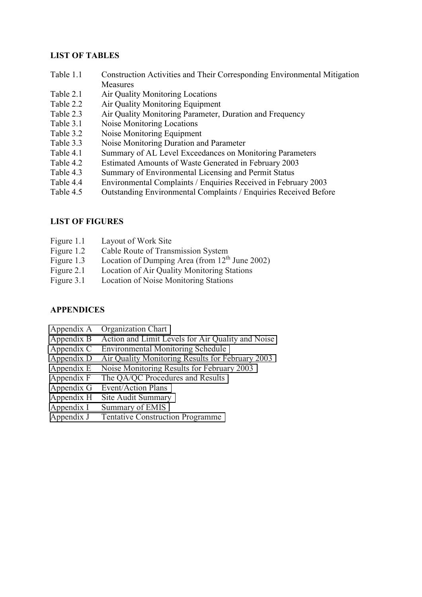### **LIST OF TABLES**

- Table 1.1 Construction Activities and Their Corresponding Environmental Mitigation **Measures**
- Table 2.1 Air Quality Monitoring Locations
- Table 2.2 Air Quality Monitoring Equipment
- Table 2.3 Air Quality Monitoring Parameter, Duration and Frequency
- Table 3.1 Noise Monitoring Locations
- Table 3.2 Noise Monitoring Equipment
- Table 3.3 Noise Monitoring Duration and Parameter
- Table 4.1 Summary of AL Level Exceedances on Monitoring Parameters
- Table 4.2 Estimated Amounts of Waste Generated in February 2003
- Table 4.3 Summary of Environmental Licensing and Permit Status
- Table 4.4 Environmental Complaints / Enquiries Received in February 2003
- Table 4.5 Outstanding Environmental Complaints / Enquiries Received Before

# **LIST OF FIGURES**

- Figure 1.1 Layout of Work Site
- Figure 1.2 Cable Route of Transmission System
- Figure 1.3 Location of Dumping Area (from  $12<sup>th</sup>$  June 2002)
- Figure 2.1 Location of Air Quality Monitoring Stations
- Figure 3.1 Location of Noise Monitoring Stations

### **APPENDICES**

- Appendix A Organization Chart
- Appendix B Action and Limit Levels for Air Quality and Noise
- Appendix C Environmental Monitoring Schedule
- Appendix D Air Quality Monitoring Results for February 2003
- Appendix E Noise Monitoring Results for February 2003
- Appendix F The QA/QC Procedures and Results
- Appendix G Event/Action Plans
- Appendix H Site Audit Summary
- Appendix I Summary of EMIS
- Appendix J Tentative Construction Programme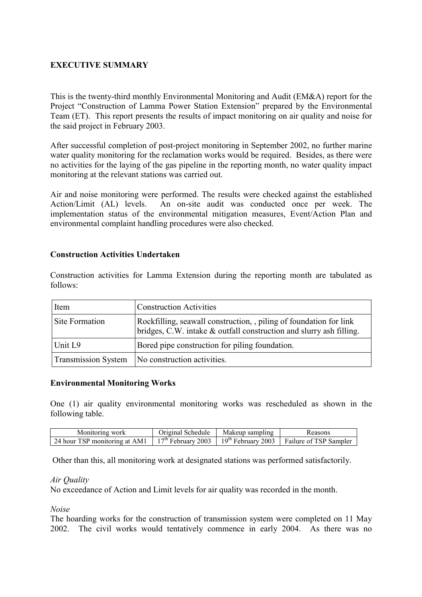# **EXECUTIVE SUMMARY**

This is the twenty-third monthly Environmental Monitoring and Audit (EM&A) report for the Project "Construction of Lamma Power Station Extension" prepared by the Environmental Team (ET). This report presents the results of impact monitoring on air quality and noise for the said project in February 2003.

After successful completion of post-project monitoring in September 2002, no further marine water quality monitoring for the reclamation works would be required. Besides, as there were no activities for the laying of the gas pipeline in the reporting month, no water quality impact monitoring at the relevant stations was carried out.

Air and noise monitoring were performed. The results were checked against the established Action/Limit (AL) levels. An on-site audit was conducted once per week. The implementation status of the environmental mitigation measures, Event/Action Plan and environmental complaint handling procedures were also checked.

#### **Construction Activities Undertaken**

Construction activities for Lamma Extension during the reporting month are tabulated as follows:

| Item                       | <b>Construction Activities</b>                                                                                                          |
|----------------------------|-----------------------------------------------------------------------------------------------------------------------------------------|
| Site Formation             | Rockfilling, seawall construction, piling of foundation for link<br>bridges, C.W. intake & outfall construction and slurry ash filling. |
| Unit L9                    | Bored pipe construction for piling foundation.                                                                                          |
| <b>Transmission System</b> | No construction activities.                                                                                                             |

#### **Environmental Monitoring Works**

One (1) air quality environmental monitoring works was rescheduled as shown in the following table.

| Monitoring work               | Original Schedule | Makeup sampling | Reasons                                                              |
|-------------------------------|-------------------|-----------------|----------------------------------------------------------------------|
| 24 hour TSP monitoring at AM1 |                   |                 | $17th$ February 2003   $19th$ February 2003   Failure of TSP Sampler |

Other than this, all monitoring work at designated stations was performed satisfactorily.

#### *Air Quality*

No exceedance of Action and Limit levels for air quality was recorded in the month.

*Noise* 

The hoarding works for the construction of transmission system were completed on 11 May 2002. The civil works would tentatively commence in early 2004. As there was no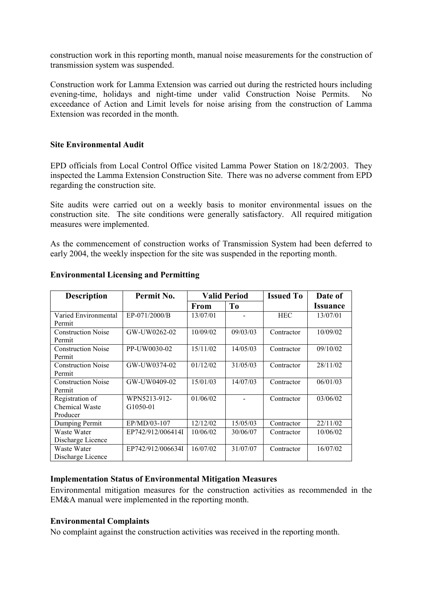construction work in this reporting month, manual noise measurements for the construction of transmission system was suspended.

Construction work for Lamma Extension was carried out during the restricted hours including evening-time, holidays and night-time under valid Construction Noise Permits. No exceedance of Action and Limit levels for noise arising from the construction of Lamma Extension was recorded in the month.

#### **Site Environmental Audit**

EPD officials from Local Control Office visited Lamma Power Station on 18/2/2003. They inspected the Lamma Extension Construction Site. There was no adverse comment from EPD regarding the construction site.

Site audits were carried out on a weekly basis to monitor environmental issues on the construction site. The site conditions were generally satisfactory. All required mitigation measures were implemented.

As the commencement of construction works of Transmission System had been deferred to early 2004, the weekly inspection for the site was suspended in the reporting month.

| <b>Description</b>                            | Permit No.               | <b>Valid Period</b> |                | <b>Issued To</b> | Date of         |
|-----------------------------------------------|--------------------------|---------------------|----------------|------------------|-----------------|
|                                               |                          | <b>From</b>         | T <sub>0</sub> |                  | <b>Issuance</b> |
| Varied Environmental<br>Permit                | EP-071/2000/B            | 13/07/01            |                | <b>HEC</b>       | 13/07/01        |
| <b>Construction Noise</b><br>Permit           | GW-UW0262-02             | 10/09/02            | 09/03/03       | Contractor       | 10/09/02        |
| <b>Construction Noise</b><br>Permit           | PP-UW0030-02             | 15/11/02            | 14/05/03       | Contractor       | 09/10/02        |
| <b>Construction Noise</b><br>Permit           | GW-UW0374-02             | 01/12/02            | 31/05/03       | Contractor       | 28/11/02        |
| <b>Construction Noise</b><br>Permit           | GW-UW0409-02             | 15/01/03            | 14/07/03       | Contractor       | 06/01/03        |
| Registration of<br>Chemical Waste<br>Producer | WPN5213-912-<br>G1050-01 | 01/06/02            |                | Contractor       | 03/06/02        |
| Dumping Permit                                | EP/MD/03-107             | 12/12/02            | 15/05/03       | Contractor       | 22/11/02        |
| Waste Water<br>Discharge Licence              | EP742/912/006414I        | 10/06/02            | 30/06/07       | Contractor       | 10/06/02        |
| Waste Water<br>Discharge Licence              | EP742/912/006634I        | 16/07/02            | 31/07/07       | Contractor       | 16/07/02        |

#### **Environmental Licensing and Permitting**

#### **Implementation Status of Environmental Mitigation Measures**

Environmental mitigation measures for the construction activities as recommended in the EM&A manual were implemented in the reporting month.

#### **Environmental Complaints**

No complaint against the construction activities was received in the reporting month.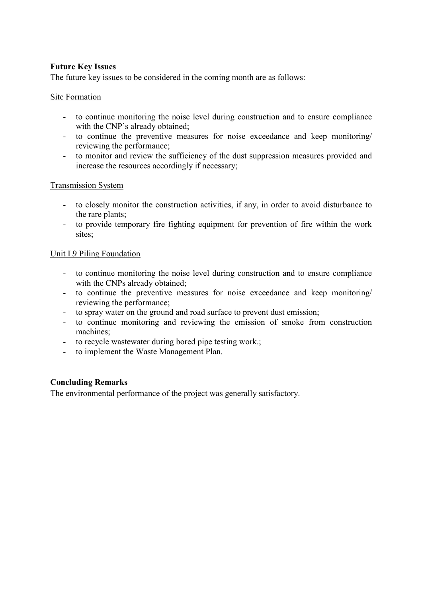# **Future Key Issues**

The future key issues to be considered in the coming month are as follows:

### Site Formation

- to continue monitoring the noise level during construction and to ensure compliance with the CNP's already obtained;
- to continue the preventive measures for noise exceedance and keep monitoring/ reviewing the performance;
- to monitor and review the sufficiency of the dust suppression measures provided and increase the resources accordingly if necessary;

#### Transmission System

- to closely monitor the construction activities, if any, in order to avoid disturbance to the rare plants;
- to provide temporary fire fighting equipment for prevention of fire within the work sites;

#### Unit L9 Piling Foundation

- to continue monitoring the noise level during construction and to ensure compliance with the CNPs already obtained;
- to continue the preventive measures for noise exceedance and keep monitoring/ reviewing the performance;
- to spray water on the ground and road surface to prevent dust emission;
- to continue monitoring and reviewing the emission of smoke from construction machines;
- to recycle wastewater during bored pipe testing work.;
- to implement the Waste Management Plan.

### **Concluding Remarks**

The environmental performance of the project was generally satisfactory.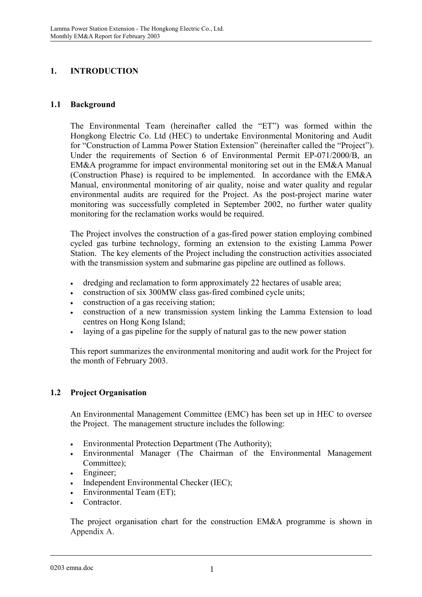# **1. INTRODUCTION**

## **1.1 Background**

The Environmental Team (hereinafter called the "ET") was formed within the Hongkong Electric Co. Ltd (HEC) to undertake Environmental Monitoring and Audit for "Construction of Lamma Power Station Extension" (hereinafter called the "Project"). Under the requirements of Section 6 of Environmental Permit EP-071/2000/B, an EM&A programme for impact environmental monitoring set out in the EM&A Manual (Construction Phase) is required to be implemented. In accordance with the EM&A Manual, environmental monitoring of air quality, noise and water quality and regular environmental audits are required for the Project. As the post-project marine water monitoring was successfully completed in September 2002, no further water quality monitoring for the reclamation works would be required.

The Project involves the construction of a gas-fired power station employing combined cycled gas turbine technology, forming an extension to the existing Lamma Power Station. The key elements of the Project including the construction activities associated with the transmission system and submarine gas pipeline are outlined as follows.

- dredging and reclamation to form approximately 22 hectares of usable area;
- construction of six 300MW class gas-fired combined cycle units;
- construction of a gas receiving station;
- construction of a new transmission system linking the Lamma Extension to load centres on Hong Kong Island;
- laying of a gas pipeline for the supply of natural gas to the new power station

This report summarizes the environmental monitoring and audit work for the Project for the month of February 2003.

# **1.2 Project Organisation**

An Environmental Management Committee (EMC) has been set up in HEC to oversee the Project. The management structure includes the following:

- Environmental Protection Department (The Authority);
- Environmental Manager (The Chairman of the Environmental Management Committee);
- Engineer:
- Independent Environmental Checker (IEC);
- Environmental Team (ET);
- Contractor

The project organisation chart for the construction EM&A programme is shown in Appendix A.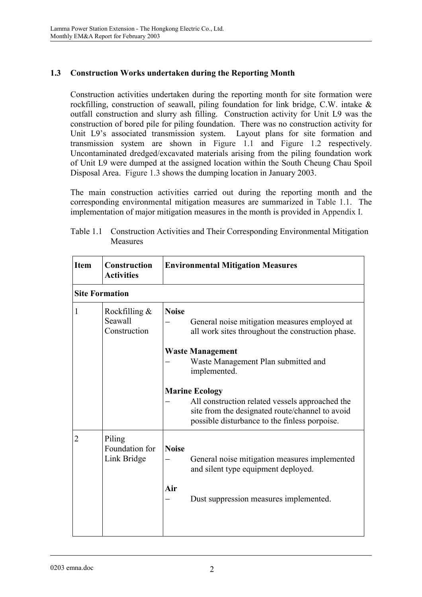# **1.3 Construction Works undertaken during the Reporting Month**

Construction activities undertaken during the reporting month for site formation were rockfilling, construction of seawall, piling foundation for link bridge, C.W. intake & outfall construction and slurry ash filling. Construction activity for Unit L9 was the construction of bored pile for piling foundation. There was no construction activity for Unit L9's associated transmission system. Layout plans for site formation and transmission system are shown in Figure 1.1 and Figure 1.2 respectively. Uncontaminated dredged/excavated materials arising from the piling foundation work of Unit L9 were dumped at the assigned location within the South Cheung Chau Spoil Disposal Area. Figure 1.3 shows the dumping location in January 2003.

The main construction activities carried out during the reporting month and the corresponding environmental mitigation measures are summarized in Table 1.1. The implementation of major mitigation measures in the month is provided in Appendix I.

| <b>Item</b>           | <b>Construction</b><br><b>Activities</b> | <b>Environmental Mitigation Measures</b>                                                                                                                                     |
|-----------------------|------------------------------------------|------------------------------------------------------------------------------------------------------------------------------------------------------------------------------|
| <b>Site Formation</b> |                                          |                                                                                                                                                                              |
| 1                     | Rockfilling &<br>Seawall<br>Construction | <b>Noise</b><br>General noise mitigation measures employed at<br>all work sites throughout the construction phase.                                                           |
|                       |                                          | <b>Waste Management</b><br>Waste Management Plan submitted and<br>implemented.                                                                                               |
|                       |                                          | <b>Marine Ecology</b><br>All construction related vessels approached the<br>site from the designated route/channel to avoid<br>possible disturbance to the finless porpoise. |
| 2                     | Piling<br>Foundation for<br>Link Bridge  | <b>Noise</b><br>General noise mitigation measures implemented<br>and silent type equipment deployed.<br>Air<br>Dust suppression measures implemented.                        |

| Table 1.1 Construction Activities and Their Corresponding Environmental Mitigation |
|------------------------------------------------------------------------------------|
| Measures                                                                           |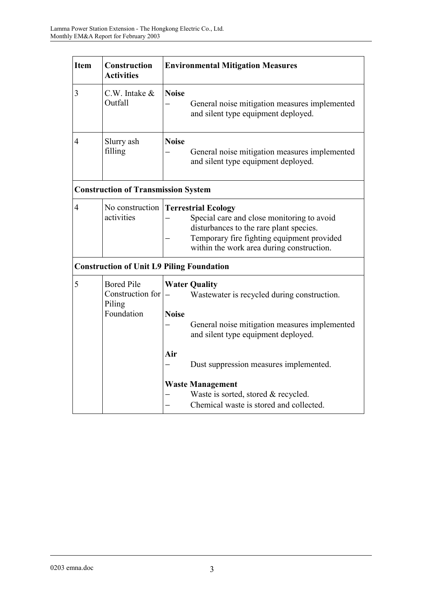| <b>Item</b>    | Construction<br><b>Activities</b>                             | <b>Environmental Mitigation Measures</b>                                                                                                                                                                                |
|----------------|---------------------------------------------------------------|-------------------------------------------------------------------------------------------------------------------------------------------------------------------------------------------------------------------------|
| 3              | C.W. Intake &<br>Outfall                                      | <b>Noise</b><br>General noise mitigation measures implemented<br>and silent type equipment deployed.                                                                                                                    |
| $\overline{4}$ | Slurry ash<br>filling                                         | <b>Noise</b><br>General noise mitigation measures implemented<br>and silent type equipment deployed.                                                                                                                    |
|                | <b>Construction of Transmission System</b>                    |                                                                                                                                                                                                                         |
| $\overline{4}$ | activities                                                    | No construction Terrestrial Ecology<br>Special care and close monitoring to avoid<br>disturbances to the rare plant species.<br>Temporary fire fighting equipment provided<br>within the work area during construction. |
|                |                                                               | <b>Construction of Unit L9 Piling Foundation</b>                                                                                                                                                                        |
| 5              | <b>Bored Pile</b><br>Construction for<br>Piling<br>Foundation | <b>Water Quality</b><br>Wastewater is recycled during construction.<br><b>Noise</b><br>General noise mitigation measures implemented                                                                                    |
|                |                                                               | and silent type equipment deployed.<br>Air<br>Dust suppression measures implemented.                                                                                                                                    |
|                |                                                               | <b>Waste Management</b><br>Waste is sorted, stored & recycled.<br>Chemical waste is stored and collected.                                                                                                               |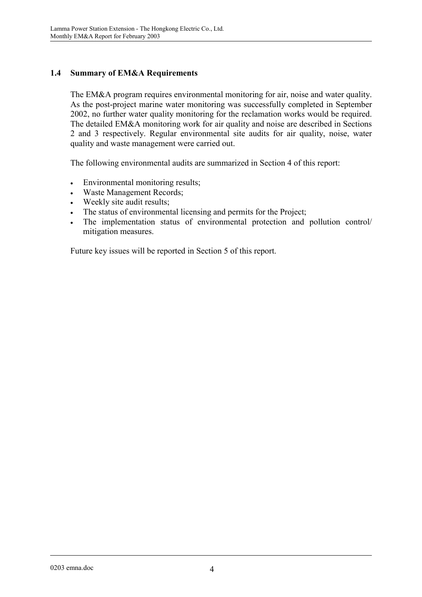# **1.4 Summary of EM&A Requirements**

The EM&A program requires environmental monitoring for air, noise and water quality. As the post-project marine water monitoring was successfully completed in September 2002, no further water quality monitoring for the reclamation works would be required. The detailed EM&A monitoring work for air quality and noise are described in Sections 2 and 3 respectively. Regular environmental site audits for air quality, noise, water quality and waste management were carried out.

The following environmental audits are summarized in Section 4 of this report:

- Environmental monitoring results;
- Waste Management Records;
- Weekly site audit results;
- The status of environmental licensing and permits for the Project;
- The implementation status of environmental protection and pollution control/ mitigation measures.

Future key issues will be reported in Section 5 of this report.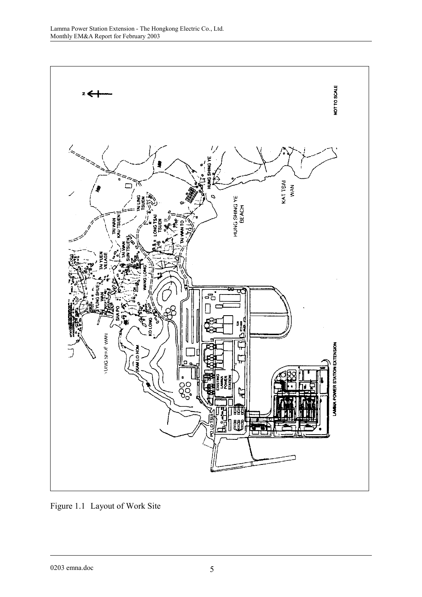

Figure 1.1 Layout of Work Site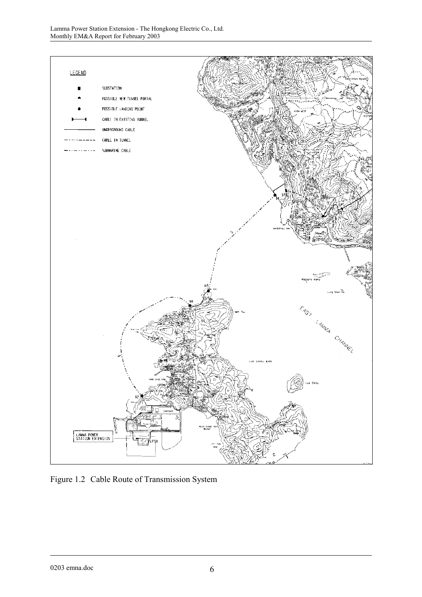

Figure 1.2 Cable Route of Transmission System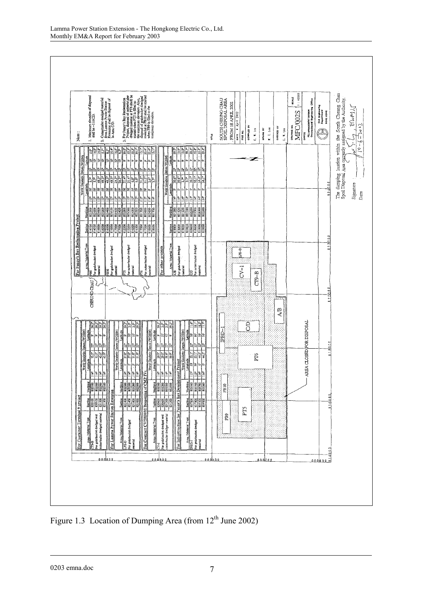

Figure 1.3 Location of Dumping Area (from 12<sup>th</sup> June 2002)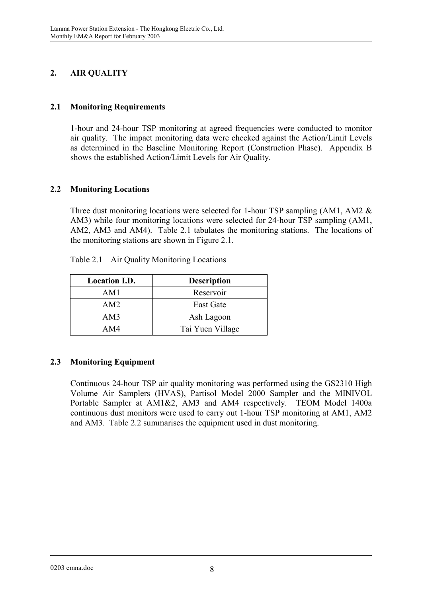# **2. AIR QUALITY**

# **2.1 Monitoring Requirements**

1-hour and 24-hour TSP monitoring at agreed frequencies were conducted to monitor air quality. The impact monitoring data were checked against the Action/Limit Levels as determined in the Baseline Monitoring Report (Construction Phase). Appendix B shows the established Action/Limit Levels for Air Quality.

# **2.2 Monitoring Locations**

Three dust monitoring locations were selected for 1-hour TSP sampling (AM1, AM2  $\&$ AM3) while four monitoring locations were selected for 24-hour TSP sampling (AM1, AM2, AM3 and AM4). Table 2.1 tabulates the monitoring stations. The locations of the monitoring stations are shown in Figure 2.1.

| <b>Location I.D.</b> | <b>Description</b> |
|----------------------|--------------------|
| AM1                  | Reservoir          |
| AM2                  | East Gate          |
| AM3                  | Ash Lagoon         |
| AM4                  | Tai Yuen Village   |

Table 2.1 Air Quality Monitoring Locations

### **2.3 Monitoring Equipment**

Continuous 24-hour TSP air quality monitoring was performed using the GS2310 High Volume Air Samplers (HVAS), Partisol Model 2000 Sampler and the MINIVOL Portable Sampler at AM1&2, AM3 and AM4 respectively. TEOM Model 1400a continuous dust monitors were used to carry out 1-hour TSP monitoring at AM1, AM2 and AM3. Table 2.2 summarises the equipment used in dust monitoring.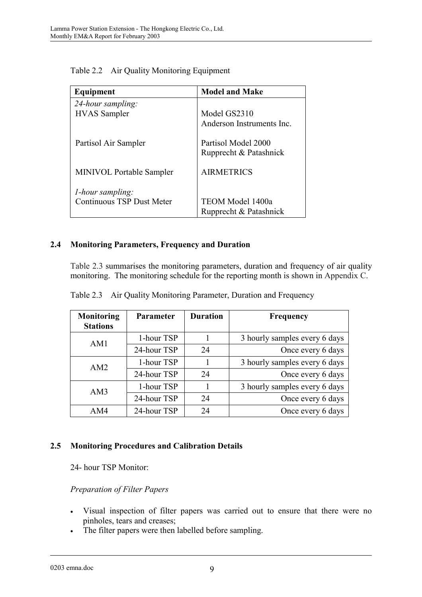| Equipment                                | <b>Model and Make</b>                         |
|------------------------------------------|-----------------------------------------------|
| 24-hour sampling:<br><b>HVAS</b> Sampler | Model GS2310                                  |
|                                          | Anderson Instruments Inc.                     |
| Partisol Air Sampler                     | Partisol Model 2000<br>Rupprecht & Patashnick |
| <b>MINIVOL Portable Sampler</b>          | <b>AIRMETRICS</b>                             |
| <i>l</i> -hour sampling:                 |                                               |
| <b>Continuous TSP Dust Meter</b>         | TEOM Model 1400a                              |
|                                          | Rupprecht & Patashnick                        |

| Table 2.2 Air Quality Monitoring Equipment |
|--------------------------------------------|
|                                            |

# **2.4 Monitoring Parameters, Frequency and Duration**

Table 2.3 summarises the monitoring parameters, duration and frequency of air quality monitoring. The monitoring schedule for the reporting month is shown in Appendix C.

| Monitoring<br><b>Stations</b> | <b>Parameter</b> | <b>Duration</b> | <b>Frequency</b>              |
|-------------------------------|------------------|-----------------|-------------------------------|
| AM1                           | 1-hour TSP       |                 | 3 hourly samples every 6 days |
|                               | 24-hour TSP      | 24              | Once every 6 days             |
| AM2                           | 1-hour TSP       |                 | 3 hourly samples every 6 days |
|                               | 24-hour TSP      | 24              | Once every 6 days             |
| AM3                           | 1-hour TSP       |                 | 3 hourly samples every 6 days |
|                               | 24-hour TSP      | 24              | Once every 6 days             |
| AM4                           | 24-hour TSP      | 24              | Once every 6 days             |

Table 2.3 Air Quality Monitoring Parameter, Duration and Frequency

### **2.5 Monitoring Procedures and Calibration Details**

24- hour TSP Monitor:

### *Preparation of Filter Papers*

- Visual inspection of filter papers was carried out to ensure that there were no pinholes, tears and creases;
- The filter papers were then labelled before sampling.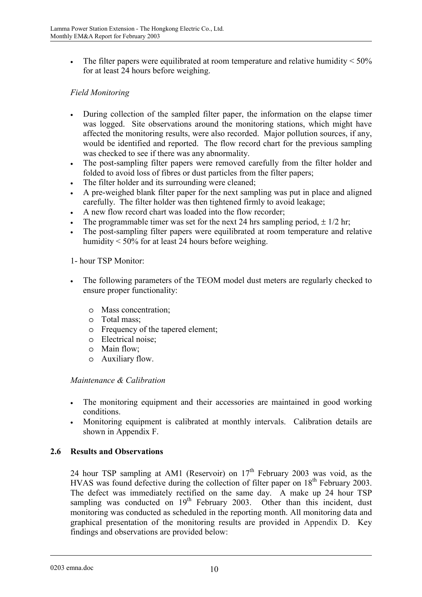• The filter papers were equilibrated at room temperature and relative humidity  $\leq 50\%$ for at least 24 hours before weighing.

# *Field Monitoring*

- During collection of the sampled filter paper, the information on the elapse timer was logged. Site observations around the monitoring stations, which might have affected the monitoring results, were also recorded. Major pollution sources, if any, would be identified and reported. The flow record chart for the previous sampling was checked to see if there was any abnormality.
- The post-sampling filter papers were removed carefully from the filter holder and folded to avoid loss of fibres or dust particles from the filter papers;
- The filter holder and its surrounding were cleaned;
- A pre-weighed blank filter paper for the next sampling was put in place and aligned carefully. The filter holder was then tightened firmly to avoid leakage;
- A new flow record chart was loaded into the flow recorder;
- The programmable timer was set for the next 24 hrs sampling period,  $\pm$  1/2 hr;
- The post-sampling filter papers were equilibrated at room temperature and relative humidity < 50% for at least 24 hours before weighing.

1- hour TSP Monitor:

- The following parameters of the TEOM model dust meters are regularly checked to ensure proper functionality:
	- o Mass concentration;
	- o Total mass;
	- o Frequency of the tapered element;
	- o Electrical noise;
	- o Main flow;
	- o Auxiliary flow.

### *Maintenance & Calibration*

- The monitoring equipment and their accessories are maintained in good working conditions.
- Monitoring equipment is calibrated at monthly intervals. Calibration details are shown in Appendix F.

### **2.6 Results and Observations**

24 hour TSP sampling at AM1 (Reservoir) on  $17<sup>th</sup>$  February 2003 was void, as the HVAS was found defective during the collection of filter paper on  $18<sup>th</sup>$  February 2003. The defect was immediately rectified on the same day. A make up 24 hour TSP sampling was conducted on  $19<sup>th</sup>$  February 2003. Other than this incident, dust monitoring was conducted as scheduled in the reporting month. All monitoring data and graphical presentation of the monitoring results are provided in Appendix D. Key findings and observations are provided below: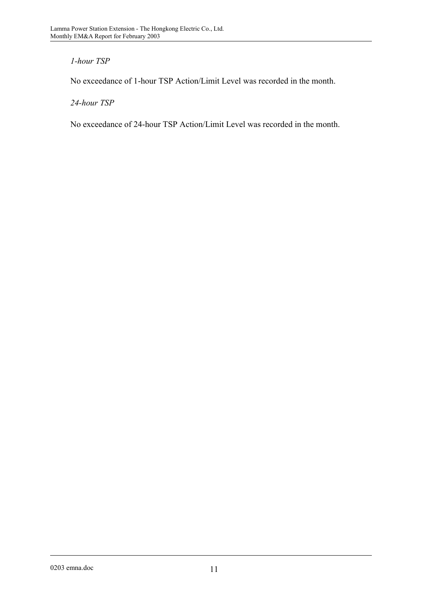# *1-hour TSP*

No exceedance of 1-hour TSP Action/Limit Level was recorded in the month.

*24-hour TSP* 

No exceedance of 24-hour TSP Action/Limit Level was recorded in the month.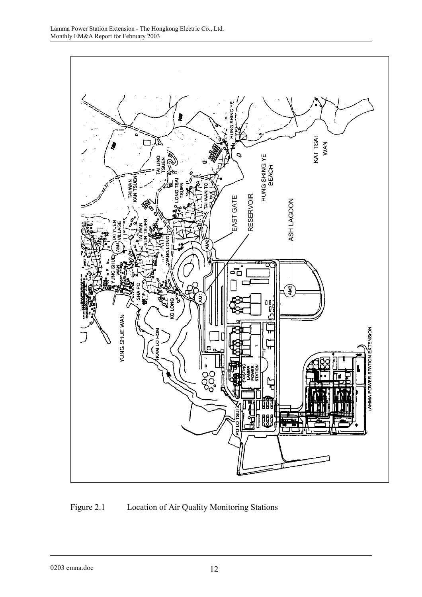

Figure 2.1 Location of Air Quality Monitoring Stations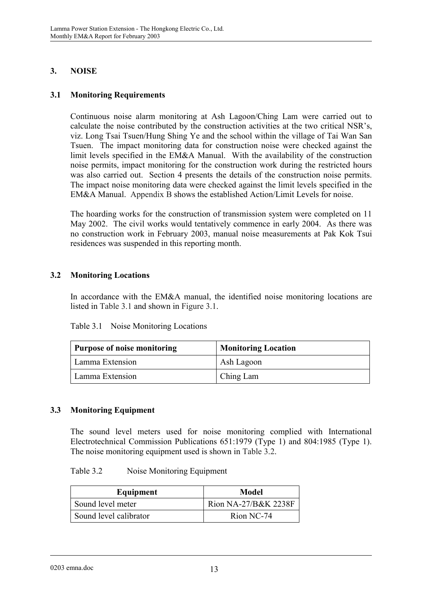# **3. NOISE**

## **3.1 Monitoring Requirements**

Continuous noise alarm monitoring at Ash Lagoon/Ching Lam were carried out to calculate the noise contributed by the construction activities at the two critical NSR's, viz. Long Tsai Tsuen/Hung Shing Ye and the school within the village of Tai Wan San Tsuen. The impact monitoring data for construction noise were checked against the limit levels specified in the EM&A Manual. With the availability of the construction noise permits, impact monitoring for the construction work during the restricted hours was also carried out. Section 4 presents the details of the construction noise permits. The impact noise monitoring data were checked against the limit levels specified in the EM&A Manual. Appendix B shows the established Action/Limit Levels for noise.

The hoarding works for the construction of transmission system were completed on 11 May 2002. The civil works would tentatively commence in early 2004. As there was no construction work in February 2003, manual noise measurements at Pak Kok Tsui residences was suspended in this reporting month.

# **3.2 Monitoring Locations**

In accordance with the EM&A manual, the identified noise monitoring locations are listed in Table 3.1 and shown in Figure 3.1.

| Table 3.1 | Noise Monitoring Locations |  |
|-----------|----------------------------|--|
|           |                            |  |

| <b>Purpose of noise monitoring</b> | <b>Monitoring Location</b> |
|------------------------------------|----------------------------|
| Lamma Extension                    | Ash Lagoon                 |
| Lamma Extension                    | Ching Lam                  |

### **3.3 Monitoring Equipment**

The sound level meters used for noise monitoring complied with International Electrotechnical Commission Publications 651:1979 (Type 1) and 804:1985 (Type 1). The noise monitoring equipment used is shown in Table 3.2.

#### Table 3.2 Noise Monitoring Equipment

| Equipment              | <b>Model</b>         |
|------------------------|----------------------|
| Sound level meter      | Rion NA-27/B&K 2238F |
| Sound level calibrator | Rion NC-74           |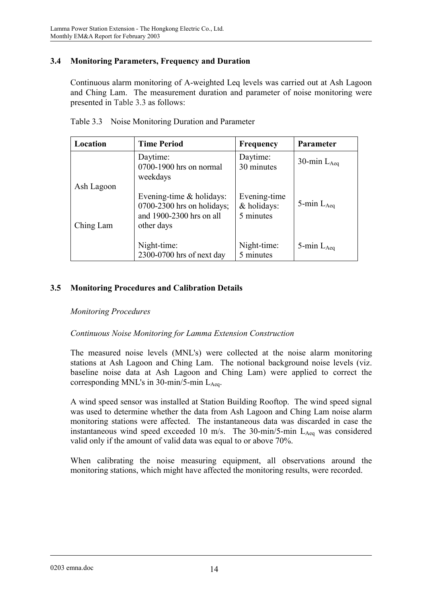# **3.4 Monitoring Parameters, Frequency and Duration**

Continuous alarm monitoring of A-weighted Leq levels was carried out at Ash Lagoon and Ching Lam. The measurement duration and parameter of noise monitoring were presented in Table 3.3 as follows:

| Location                | <b>Time Period</b>                                                                                    | <b>Frequency</b>                         | Parameter        |
|-------------------------|-------------------------------------------------------------------------------------------------------|------------------------------------------|------------------|
|                         | Daytime:<br>0700-1900 hrs on normal<br>weekdays                                                       | Daytime:<br>30 minutes                   | 30-min $L_{Aea}$ |
| Ash Lagoon<br>Ching Lam | Evening-time $\&$ holidays:<br>$0700-2300$ hrs on holidays;<br>and 1900-2300 hrs on all<br>other days | Evening-time<br>& holidays:<br>5 minutes | 5-min $L_{Aeq}$  |
|                         | Night-time:<br>2300-0700 hrs of next day                                                              | Night-time:<br>5 minutes                 | 5-min $L_{Aeq}$  |

Table 3.3 Noise Monitoring Duration and Parameter

# **3.5 Monitoring Procedures and Calibration Details**

### *Monitoring Procedures*

### *Continuous Noise Monitoring for Lamma Extension Construction*

The measured noise levels (MNL's) were collected at the noise alarm monitoring stations at Ash Lagoon and Ching Lam. The notional background noise levels (viz. baseline noise data at Ash Lagoon and Ching Lam) were applied to correct the corresponding MNL's in 30-min/5-min  $L_{Aea}$ .

A wind speed sensor was installed at Station Building Rooftop. The wind speed signal was used to determine whether the data from Ash Lagoon and Ching Lam noise alarm monitoring stations were affected. The instantaneous data was discarded in case the instantaneous wind speed exceeded 10 m/s. The 30-min/5-min  $L_{Aeq}$  was considered valid only if the amount of valid data was equal to or above 70%.

When calibrating the noise measuring equipment, all observations around the monitoring stations, which might have affected the monitoring results, were recorded.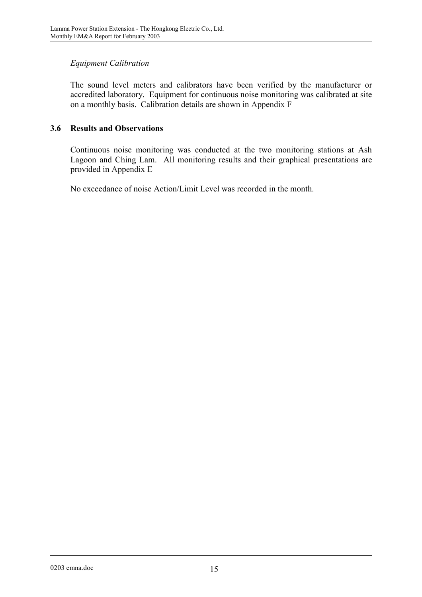# *Equipment Calibration*

The sound level meters and calibrators have been verified by the manufacturer or accredited laboratory. Equipment for continuous noise monitoring was calibrated at site on a monthly basis. Calibration details are shown in Appendix F

# **3.6 Results and Observations**

Continuous noise monitoring was conducted at the two monitoring stations at Ash Lagoon and Ching Lam. All monitoring results and their graphical presentations are provided in Appendix E

No exceedance of noise Action/Limit Level was recorded in the month.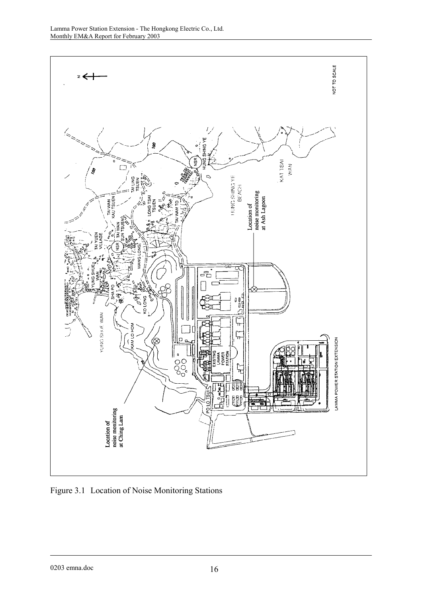

Figure 3.1 Location of Noise Monitoring Stations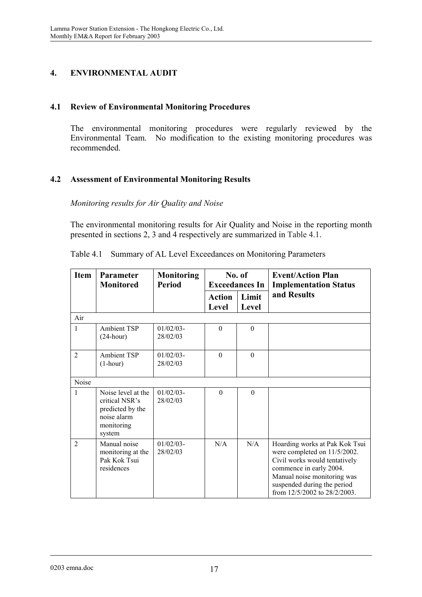# **4. ENVIRONMENTAL AUDIT**

## **4.1 Review of Environmental Monitoring Procedures**

The environmental monitoring procedures were regularly reviewed by the Environmental Team. No modification to the existing monitoring procedures was recommended.

# **4.2 Assessment of Environmental Monitoring Results**

*Monitoring results for Air Quality and Noise* 

The environmental monitoring results for Air Quality and Noise in the reporting month presented in sections 2, 3 and 4 respectively are summarized in Table 4.1.

| <b>Item</b>    | Parameter<br><b>Monitored</b>                                                                   | <b>Monitoring</b><br><b>Period</b> |                        | No. of<br><b>Exceedances In</b> | <b>Event/Action Plan</b><br><b>Implementation Status</b>                                                                                                                                                                 |
|----------------|-------------------------------------------------------------------------------------------------|------------------------------------|------------------------|---------------------------------|--------------------------------------------------------------------------------------------------------------------------------------------------------------------------------------------------------------------------|
|                |                                                                                                 |                                    | <b>Action</b><br>Level | Limit<br><b>Level</b>           | and Results                                                                                                                                                                                                              |
| Air            |                                                                                                 |                                    |                        |                                 |                                                                                                                                                                                                                          |
| 1              | <b>Ambient TSP</b><br>$(24$ -hour)                                                              | $01/02/03 -$<br>28/02/03           | $\overline{0}$         | $\mathbf{0}$                    |                                                                                                                                                                                                                          |
| $\overline{2}$ | <b>Ambient TSP</b><br>$(1-hour)$                                                                | $01/02/03$ -<br>28/02/03           | $\theta$               | $\Omega$                        |                                                                                                                                                                                                                          |
| Noise          |                                                                                                 |                                    |                        |                                 |                                                                                                                                                                                                                          |
| 1              | Noise level at the<br>critical NSR's<br>predicted by the<br>noise alarm<br>monitoring<br>system | $01/02/03$ -<br>28/02/03           | $\Omega$               | $\theta$                        |                                                                                                                                                                                                                          |
| $\overline{2}$ | Manual noise<br>monitoring at the<br>Pak Kok Tsui<br>residences                                 | $01/02/03$ -<br>28/02/03           | N/A                    | N/A                             | Hoarding works at Pak Kok Tsui<br>were completed on 11/5/2002.<br>Civil works would tentatively<br>commence in early 2004.<br>Manual noise monitoring was<br>suspended during the period<br>from 12/5/2002 to 28/2/2003. |

Table 4.1 Summary of AL Level Exceedances on Monitoring Parameters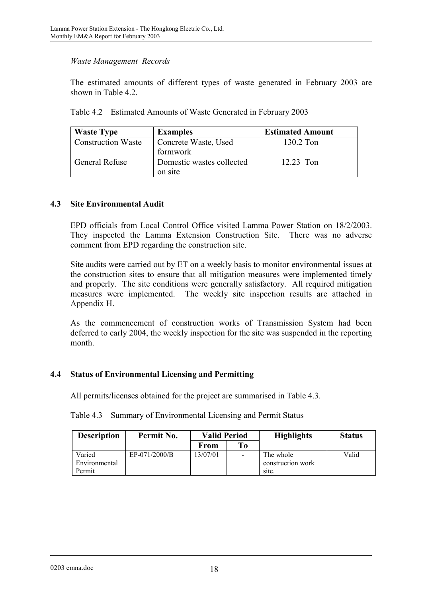## *Waste Management Records*

The estimated amounts of different types of waste generated in February 2003 are shown in Table 4.2.

| Table 4.2 Estimated Amounts of Waste Generated in February 2003 |  |  |
|-----------------------------------------------------------------|--|--|
|                                                                 |  |  |

| <b>Waste Type</b>         | <b>Examples</b>           | <b>Estimated Amount</b> |
|---------------------------|---------------------------|-------------------------|
| <b>Construction Waste</b> | Concrete Waste, Used      | 130.2 Ton               |
|                           | formwork                  |                         |
| General Refuse            | Domestic wastes collected | $12.23$ Ton             |
|                           | on site                   |                         |

### **4.3 Site Environmental Audit**

EPD officials from Local Control Office visited Lamma Power Station on 18/2/2003. They inspected the Lamma Extension Construction Site. There was no adverse comment from EPD regarding the construction site.

Site audits were carried out by ET on a weekly basis to monitor environmental issues at the construction sites to ensure that all mitigation measures were implemented timely and properly. The site conditions were generally satisfactory. All required mitigation measures were implemented. The weekly site inspection results are attached in Appendix H.

As the commencement of construction works of Transmission System had been deferred to early 2004, the weekly inspection for the site was suspended in the reporting month.

### **4.4 Status of Environmental Licensing and Permitting**

All permits/licenses obtained for the project are summarised in Table 4.3.

Table 4.3 Summary of Environmental Licensing and Permit Status

| <b>Description</b> | Permit No.    | <b>Valid Period</b> |                | <b>Highlights</b> | <b>Status</b> |
|--------------------|---------------|---------------------|----------------|-------------------|---------------|
|                    |               | From                | T <sub>0</sub> |                   |               |
| Varied             | EP-071/2000/B | 13/07/01            |                | The whole         | Valid         |
| Environmental      |               |                     |                | construction work |               |
| Permit             |               |                     |                | site.             |               |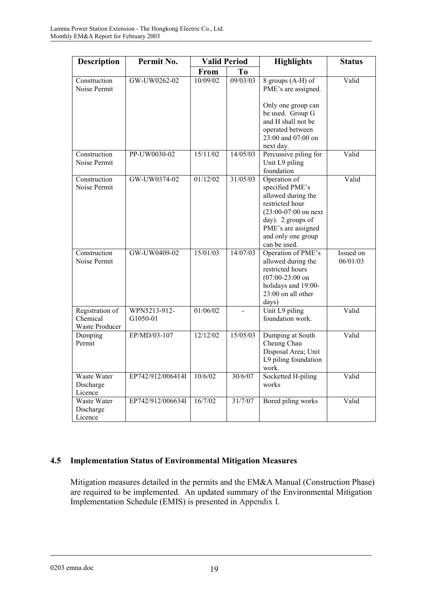| <b>Description</b>                            | Permit No.               | <b>Valid Period</b> |          | <b>Highlights</b>                                                                                                                                                                   | <b>Status</b>         |
|-----------------------------------------------|--------------------------|---------------------|----------|-------------------------------------------------------------------------------------------------------------------------------------------------------------------------------------|-----------------------|
|                                               |                          | <b>From</b>         | To       |                                                                                                                                                                                     |                       |
| Construction<br>Noise Permit                  | GW-UW0262-02             | 10/09/02            | 09/03/03 | 8 groups (A-H) of<br>PME's are assigned.<br>Only one group can<br>be used. Group G<br>and H shall not be<br>operated between<br>23:00 and 07:00 on<br>next day.                     | Valid                 |
| Construction<br>Noise Permit                  | PP-UW0030-02             | 15/11/02            | 14/05/03 | Percussive piling for<br>Unit L9 piling<br>foundation                                                                                                                               | Valid                 |
| Construction<br>Noise Permit                  | GW-UW0374-02             | 01/12/02            | 31/05/03 | Operation of<br>specified PME's<br>allowed during the<br>restricted hour<br>$(23:00-07:00$ on next<br>day). 2 groups of<br>PME's are assigned<br>and only one group<br>can be used. | Valid                 |
| Construction<br>Noise Permit                  | GW-UW0409-02             | 15/01/03            | 14/07/03 | Operation of PME's<br>allowed during the<br>restricted hours<br>$(07:00-23:00)$ on<br>holidays and 19:00-<br>23:00 on all other<br>days)                                            | Issued on<br>06/01/03 |
| Registration of<br>Chemical<br>Waste Producer | WPN5213-912-<br>G1050-01 | 01/06/02            |          | Unit L9 piling<br>foundation work.                                                                                                                                                  | Valid                 |
| Dumping<br>Permit                             | EP/MD/03-107             | 12/12/02            | 15/05/03 | Dumping at South<br>Cheung Chau<br>Disposal Area; Unit<br>L9 piling foundation<br>work.                                                                                             | Valid                 |
| Waste Water<br>Discharge<br>Licence           | EP742/912/006414I        | 10/6/02             | 30/6/07  | Socketted H-piling<br>works                                                                                                                                                         | Valid                 |
| Waste Water<br>Discharge<br>Licence           | EP742/912/006634I        | 16/7/02             | 31/7/07  | Bored piling works                                                                                                                                                                  | Valid                 |

# **4.5 Implementation Status of Environmental Mitigation Measures**

Mitigation measures detailed in the permits and the EM&A Manual (Construction Phase) are required to be implemented. An updated summary of the Environmental Mitigation Implementation Schedule (EMIS) is presented in Appendix I.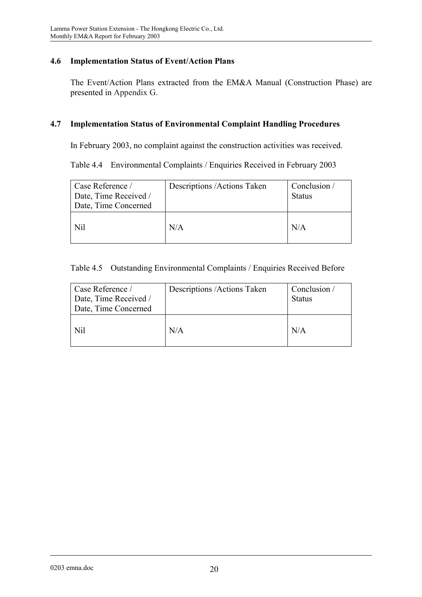## **4.6 Implementation Status of Event/Action Plans**

The Event/Action Plans extracted from the EM&A Manual (Construction Phase) are presented in Appendix G.

#### **4.7 Implementation Status of Environmental Complaint Handling Procedures**

In February 2003, no complaint against the construction activities was received.

Table 4.4 Environmental Complaints / Enquiries Received in February 2003

| Case Reference /<br>Date, Time Received /<br>Date, Time Concerned | Descriptions / Actions Taken | Conclusion /<br><b>Status</b> |
|-------------------------------------------------------------------|------------------------------|-------------------------------|
| Nil                                                               | N/A                          | N/A                           |

### Table 4.5 Outstanding Environmental Complaints / Enquiries Received Before

| Case Reference /<br>Date, Time Received /<br>Date, Time Concerned | Descriptions / Actions Taken | Conclusion /<br><b>Status</b> |
|-------------------------------------------------------------------|------------------------------|-------------------------------|
| Nil                                                               | N/A                          | N/A                           |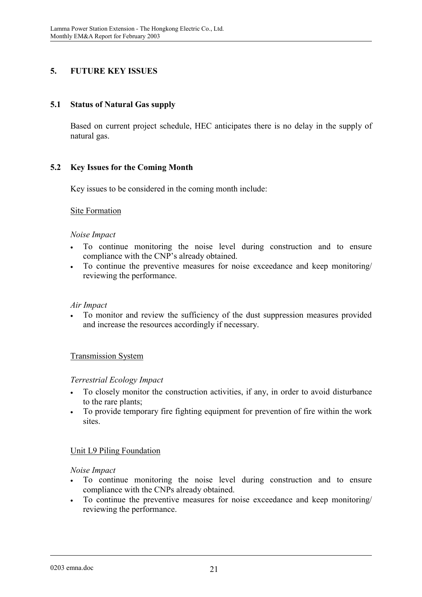# **5. FUTURE KEY ISSUES**

# **5.1 Status of Natural Gas supply**

Based on current project schedule, HEC anticipates there is no delay in the supply of natural gas.

# **5.2 Key Issues for the Coming Month**

Key issues to be considered in the coming month include:

### Site Formation

#### *Noise Impact*

- To continue monitoring the noise level during construction and to ensure compliance with the CNP's already obtained.
- To continue the preventive measures for noise exceedance and keep monitoring/ reviewing the performance.

#### *Air Impact*

• To monitor and review the sufficiency of the dust suppression measures provided and increase the resources accordingly if necessary.

### Transmission System

#### *Terrestrial Ecology Impact*

- To closely monitor the construction activities, if any, in order to avoid disturbance to the rare plants;
- To provide temporary fire fighting equipment for prevention of fire within the work sites.

### Unit L9 Piling Foundation

#### *Noise Impact*

- To continue monitoring the noise level during construction and to ensure compliance with the CNPs already obtained.
- To continue the preventive measures for noise exceedance and keep monitoring/ reviewing the performance.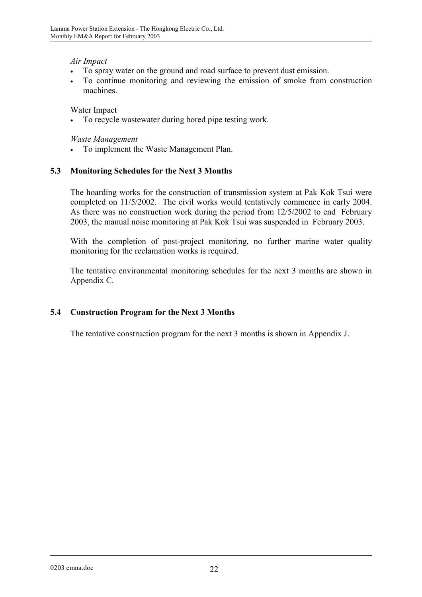## *Air Impact*

- To spray water on the ground and road surface to prevent dust emission.
- To continue monitoring and reviewing the emission of smoke from construction machines.

## Water Impact

To recycle wastewater during bored pipe testing work.

### *Waste Management*

• To implement the Waste Management Plan.

# **5.3 Monitoring Schedules for the Next 3 Months**

The hoarding works for the construction of transmission system at Pak Kok Tsui were completed on 11/5/2002. The civil works would tentatively commence in early 2004. As there was no construction work during the period from 12/5/2002 to end February 2003, the manual noise monitoring at Pak Kok Tsui was suspended in February 2003.

With the completion of post-project monitoring, no further marine water quality monitoring for the reclamation works is required.

The tentative environmental monitoring schedules for the next 3 months are shown in Appendix C.

# **5.4 Construction Program for the Next 3 Months**

The tentative construction program for the next 3 months is shown in Appendix J.